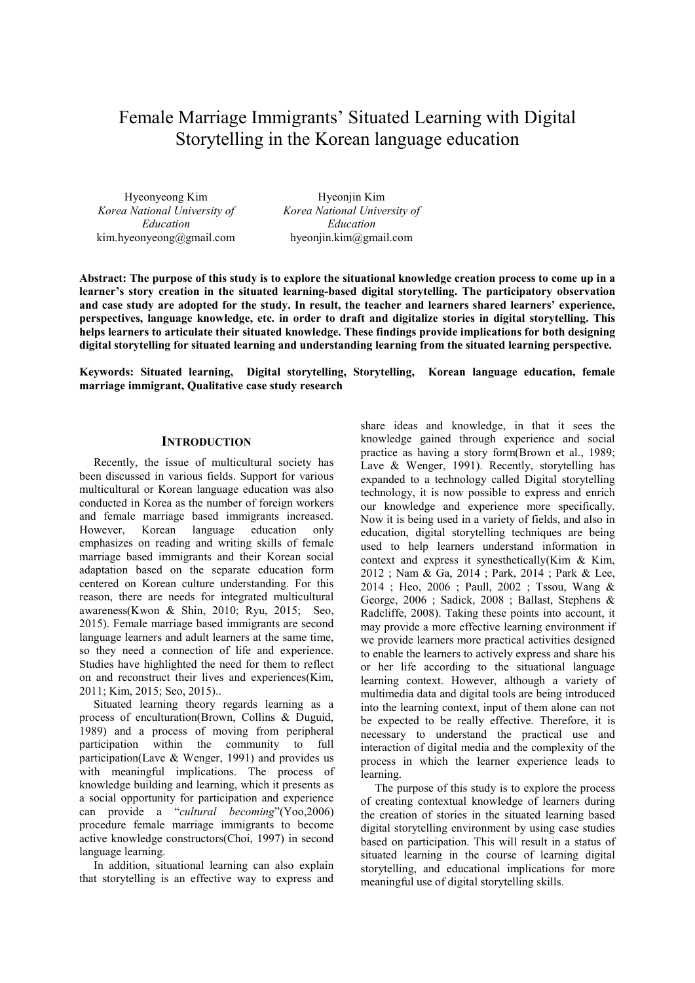# Female Marriage Immigrants' Situated Learning with Digital Storytelling in the Korean language education

Hyeonyeong Kim *Korea National University of Education* kim.hyeonyeong@gmail.com

Hyeonjin Kim *Korea National University of Education* hyeonjin.kim@gmail.com

**Abstract: The purpose of this study is to explore the situational knowledge creation process to come up in a learner's story creation in the situated learning-based digital storytelling. The participatory observation and case study are adopted for the study. In result, the teacher and learners shared learners' experience, perspectives, language knowledge, etc. in order to draft and digitalize stories in digital storytelling. This helps learners to articulate their situated knowledge. These findings provide implications for both designing digital storytelling for situated learning and understanding learning from the situated learning perspective.** 

**Keywords: Situated learning, Digital storytelling, Storytelling, Korean language education, female marriage immigrant, Qualitative case study research**

#### **INTRODUCTION**

Recently, the issue of multicultural society has been discussed in various fields. Support for various multicultural or Korean language education was also conducted in Korea as the number of foreign workers and female marriage based immigrants increased. However, Korean language education only emphasizes on reading and writing skills of female marriage based immigrants and their Korean social adaptation based on the separate education form centered on Korean culture understanding. For this reason, there are needs for integrated multicultural awareness(Kwon & Shin, 2010; Ryu, 2015; Seo, 2015). Female marriage based immigrants are second language learners and adult learners at the same time, so they need a connection of life and experience. Studies have highlighted the need for them to reflect on and reconstruct their lives and experiences(Kim, 2011; Kim, 2015; Seo, 2015)..

Situated learning theory regards learning as a process of enculturation(Brown, Collins & Duguid, 1989) and a process of moving from peripheral participation within the community to full participation(Lave & Wenger, 1991) and provides us with meaningful implications. The process of knowledge building and learning, which it presents as a social opportunity for participation and experience can provide a "*cultural becoming*"(Yoo,2006) procedure female marriage immigrants to become active knowledge constructors(Choi, 1997) in second language learning.

In addition, situational learning can also explain that storytelling is an effective way to express and share ideas and knowledge, in that it sees the knowledge gained through experience and social practice as having a story form(Brown et al., 1989; Lave & Wenger, 1991). Recently, storytelling has expanded to a technology called Digital storytelling technology, it is now possible to express and enrich our knowledge and experience more specifically. Now it is being used in a variety of fields, and also in education, digital storytelling techniques are being used to help learners understand information in context and express it synesthetically(Kim & Kim, 2012 ; Nam & Ga, 2014 ; Park, 2014 ; Park & Lee, 2014 ; Heo, 2006 ; Paull, 2002 ; Tssou, Wang & George, 2006 ; Sadick, 2008 ; Ballast, Stephens & Radcliffe, 2008). Taking these points into account, it may provide a more effective learning environment if we provide learners more practical activities designed to enable the learners to actively express and share his or her life according to the situational language learning context. However, although a variety of multimedia data and digital tools are being introduced into the learning context, input of them alone can not be expected to be really effective. Therefore, it is necessary to understand the practical use and interaction of digital media and the complexity of the process in which the learner experience leads to learning.

The purpose of this study is to explore the process of creating contextual knowledge of learners during the creation of stories in the situated learning based digital storytelling environment by using case studies based on participation. This will result in a status of situated learning in the course of learning digital storytelling, and educational implications for more meaningful use of digital storytelling skills.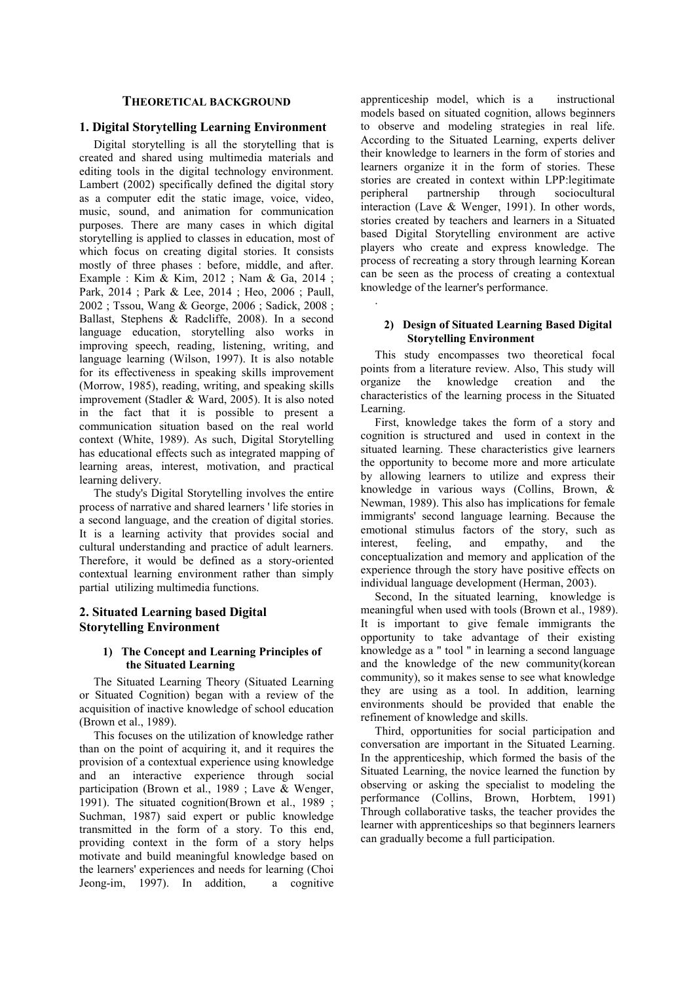## **THEORETICAL BACKGROUND**

#### **1. Digital Storytelling Learning Environment**

Digital storytelling is all the storytelling that is created and shared using multimedia materials and editing tools in the digital technology environment. Lambert (2002) specifically defined the digital story as a computer edit the static image, voice, video, music, sound, and animation for communication purposes. There are many cases in which digital storytelling is applied to classes in education, most of which focus on creating digital stories. It consists mostly of three phases : before, middle, and after. Example : Kim & Kim, 2012 ; Nam & Ga, 2014 ; Park, 2014 ; Park & Lee, 2014 ; Heo, 2006 ; Paull, 2002 ; Tssou, Wang & George, 2006 ; Sadick, 2008 ; Ballast, Stephens & Radcliffe, 2008). In a second language education, storytelling also works in improving speech, reading, listening, writing, and language learning (Wilson, 1997). It is also notable for its effectiveness in speaking skills improvement (Morrow, 1985), reading, writing, and speaking skills improvement (Stadler & Ward, 2005). It is also noted in the fact that it is possible to present a communication situation based on the real world context (White, 1989). As such, Digital Storytelling has educational effects such as integrated mapping of learning areas, interest, motivation, and practical learning delivery.

The study's Digital Storytelling involves the entire process of narrative and shared learners ' life stories in a second language, and the creation of digital stories. It is a learning activity that provides social and cultural understanding and practice of adult learners. Therefore, it would be defined as a story-oriented contextual learning environment rather than simply partial utilizing multimedia functions.

# **2. Situated Learning based Digital Storytelling Environment**

#### **1) The Concept and Learning Principles of the Situated Learning**

The Situated Learning Theory (Situated Learning or Situated Cognition) began with a review of the acquisition of inactive knowledge of school education (Brown et al., 1989).

This focuses on the utilization of knowledge rather than on the point of acquiring it, and it requires the provision of a contextual experience using knowledge and an interactive experience through social participation (Brown et al., 1989 ; Lave & Wenger, 1991). The situated cognition(Brown et al., 1989 ; Suchman, 1987) said expert or public knowledge transmitted in the form of a story. To this end, providing context in the form of a story helps motivate and build meaningful knowledge based on the learners' experiences and needs for learning (Choi Jeong-im, 1997). In addition, a cognitive

apprenticeship model, which is a instructional models based on situated cognition, allows beginners to observe and modeling strategies in real life. According to the Situated Learning, experts deliver their knowledge to learners in the form of stories and learners organize it in the form of stories. These stories are created in context within LPP:legitimate peripheral partnership through sociocultural interaction (Lave & Wenger, 1991). In other words, stories created by teachers and learners in a Situated based Digital Storytelling environment are active players who create and express knowledge. The process of recreating a story through learning Korean can be seen as the process of creating a contextual knowledge of the learner's performance.

#### **2) Design of Situated Learning Based Digital Storytelling Environment**

.

This study encompasses two theoretical focal points from a literature review. Also, This study will organize the knowledge creation and the characteristics of the learning process in the Situated Learning.

First, knowledge takes the form of a story and cognition is structured and used in context in the situated learning. These characteristics give learners the opportunity to become more and more articulate by allowing learners to utilize and express their knowledge in various ways (Collins, Brown, & Newman, 1989). This also has implications for female immigrants' second language learning. Because the emotional stimulus factors of the story, such as interest, feeling, and empathy, and the conceptualization and memory and application of the experience through the story have positive effects on individual language development (Herman, 2003).

Second, In the situated learning, knowledge is meaningful when used with tools (Brown et al., 1989). It is important to give female immigrants the opportunity to take advantage of their existing knowledge as a " tool " in learning a second language and the knowledge of the new community(korean community), so it makes sense to see what knowledge they are using as a tool. In addition, learning environments should be provided that enable the refinement of knowledge and skills.

Third, opportunities for social participation and conversation are important in the Situated Learning. In the apprenticeship, which formed the basis of the Situated Learning, the novice learned the function by observing or asking the specialist to modeling the performance (Collins, Brown, Horbtem, 1991) Through collaborative tasks, the teacher provides the learner with apprenticeships so that beginners learners can gradually become a full participation.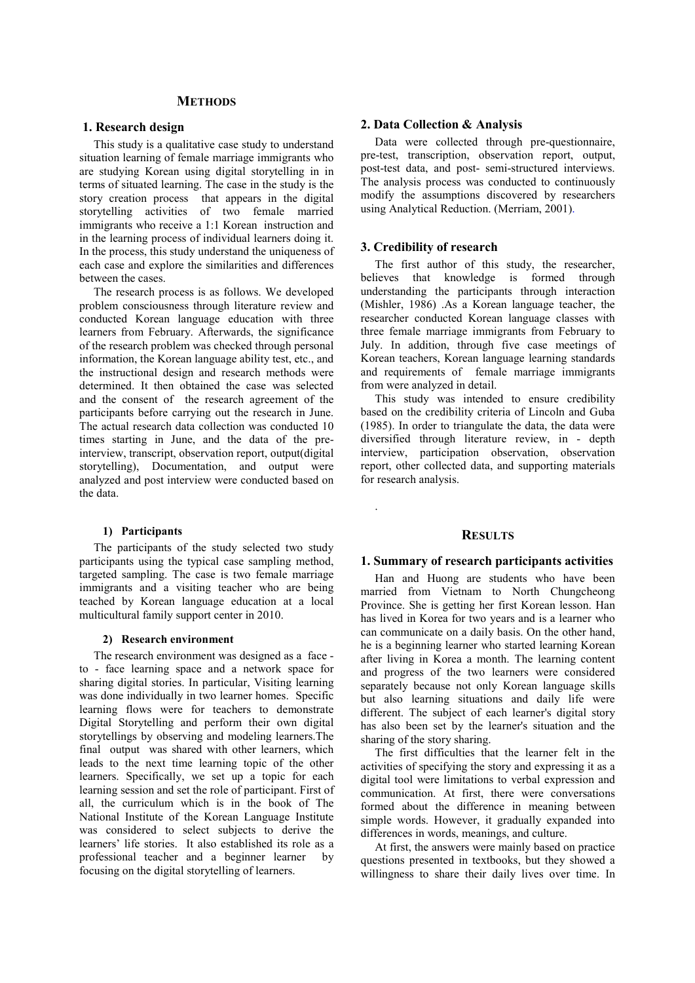#### **METHODS**

#### **1. Research design**

This study is a qualitative case study to understand situation learning of female marriage immigrants who are studying Korean using digital storytelling in in terms of situated learning. The case in the study is the story creation process that appears in the digital storytelling activities of two female married immigrants who receive a 1:1 Korean instruction and in the learning process of individual learners doing it. In the process, this study understand the uniqueness of each case and explore the similarities and differences between the cases.

The research process is as follows. We developed problem consciousness through literature review and conducted Korean language education with three learners from February. Afterwards, the significance of the research problem was checked through personal information, the Korean language ability test, etc., and the instructional design and research methods were determined. It then obtained the case was selected and the consent of the research agreement of the participants before carrying out the research in June. The actual research data collection was conducted 10 times starting in June, and the data of the preinterview, transcript, observation report, output(digital storytelling), Documentation, and output were analyzed and post interview were conducted based on the data.

#### **1) Participants**

The participants of the study selected two study participants using the typical case sampling method, targeted sampling. The case is two female marriage immigrants and a visiting teacher who are being teached by Korean language education at a local multicultural family support center in 2010.

#### **2) Research environment**

The research environment was designed as a face to - face learning space and a network space for sharing digital stories. In particular, Visiting learning was done individually in two learner homes. Specific learning flows were for teachers to demonstrate Digital Storytelling and perform their own digital storytellings by observing and modeling learners.The final output was shared with other learners, which leads to the next time learning topic of the other learners. Specifically, we set up a topic for each learning session and set the role of participant. First of all, the curriculum which is in the book of The National Institute of the Korean Language Institute was considered to select subjects to derive the learners' life stories. It also established its role as a professional teacher and a beginner learner by focusing on the digital storytelling of learners.

#### **2. Data Collection & Analysis**

Data were collected through pre-questionnaire, pre-test, transcription, observation report, output, post-test data, and post- semi-structured interviews. The analysis process was conducted to continuously modify the assumptions discovered by researchers using Analytical Reduction. (Merriam, 2001).

#### **3. Credibility of research**

.

The first author of this study, the researcher, believes that knowledge is formed through understanding the participants through interaction (Mishler, 1986) .As a Korean language teacher, the researcher conducted Korean language classes with three female marriage immigrants from February to July. In addition, through five case meetings of Korean teachers, Korean language learning standards and requirements of female marriage immigrants from were analyzed in detail.

This study was intended to ensure credibility based on the credibility criteria of Lincoln and Guba (1985). In order to triangulate the data, the data were diversified through literature review, in - depth interview, participation observation, observation report, other collected data, and supporting materials for research analysis.

## **RESULTS**

#### **1. Summary of research participants activities**

Han and Huong are students who have been married from Vietnam to North Chungcheong Province. She is getting her first Korean lesson. Han has lived in Korea for two years and is a learner who can communicate on a daily basis. On the other hand, he is a beginning learner who started learning Korean after living in Korea a month. The learning content and progress of the two learners were considered separately because not only Korean language skills but also learning situations and daily life were different. The subject of each learner's digital story has also been set by the learner's situation and the sharing of the story sharing.

The first difficulties that the learner felt in the activities of specifying the story and expressing it as a digital tool were limitations to verbal expression and communication. At first, there were conversations formed about the difference in meaning between simple words. However, it gradually expanded into differences in words, meanings, and culture.

At first, the answers were mainly based on practice questions presented in textbooks, but they showed a willingness to share their daily lives over time. In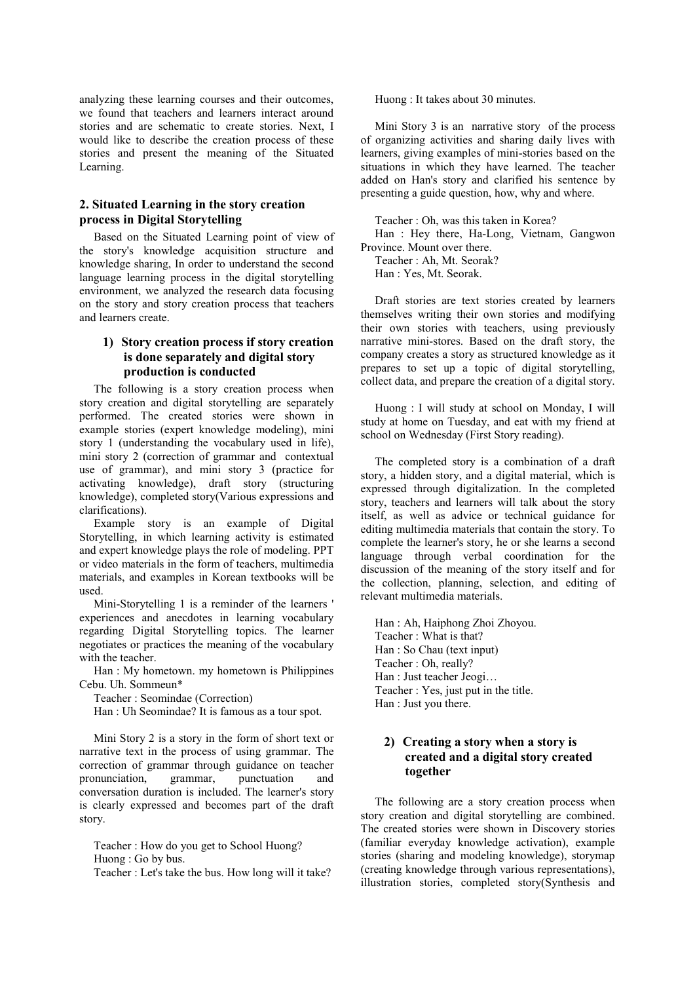analyzing these learning courses and their outcomes, we found that teachers and learners interact around stories and are schematic to create stories. Next, I would like to describe the creation process of these stories and present the meaning of the Situated Learning.

## **2. Situated Learning in the story creation process in Digital Storytelling**

Based on the Situated Learning point of view of the story's knowledge acquisition structure and knowledge sharing, In order to understand the second language learning process in the digital storytelling environment, we analyzed the research data focusing on the story and story creation process that teachers and learners create.

# **1) Story creation process if story creation is done separately and digital story production is conducted**

The following is a story creation process when story creation and digital storytelling are separately performed. The created stories were shown in example stories (expert knowledge modeling), mini story 1 (understanding the vocabulary used in life), mini story 2 (correction of grammar and contextual use of grammar), and mini story 3 (practice for activating knowledge), draft story (structuring knowledge), completed story(Various expressions and clarifications).

Example story is an example of Digital Storytelling, in which learning activity is estimated and expert knowledge plays the role of modeling. PPT or video materials in the form of teachers, multimedia materials, and examples in Korean textbooks will be used.

Mini-Storytelling 1 is a reminder of the learners ' experiences and anecdotes in learning vocabulary regarding Digital Storytelling topics. The learner negotiates or practices the meaning of the vocabulary with the teacher.

Han : My hometown. my hometown is Philippines Cebu. Uh. Sommeun\*

Teacher : Seomindae (Correction)

Han : Uh Seomindae? It is famous as a tour spot.

Mini Story 2 is a story in the form of short text or narrative text in the process of using grammar. The correction of grammar through guidance on teacher pronunciation, grammar, punctuation and conversation duration is included. The learner's story is clearly expressed and becomes part of the draft story.

Teacher : How do you get to School Huong? Huong : Go by bus.

Teacher : Let's take the bus. How long will it take?

Huong : It takes about 30 minutes.

Mini Story 3 is an narrative story of the process of organizing activities and sharing daily lives with learners, giving examples of mini-stories based on the situations in which they have learned. The teacher added on Han's story and clarified his sentence by presenting a guide question, how, why and where.

Teacher : Oh, was this taken in Korea?

Han : Hey there, Ha-Long, Vietnam, Gangwon Province. Mount over there.

Teacher : Ah, Mt. Seorak? Han : Yes, Mt. Seorak.

Draft stories are text stories created by learners themselves writing their own stories and modifying their own stories with teachers, using previously narrative mini-stores. Based on the draft story, the company creates a story as structured knowledge as it prepares to set up a topic of digital storytelling, collect data, and prepare the creation of a digital story.

Huong : I will study at school on Monday, I will study at home on Tuesday, and eat with my friend at school on Wednesday (First Story reading).

The completed story is a combination of a draft story, a hidden story, and a digital material, which is expressed through digitalization. In the completed story, teachers and learners will talk about the story itself, as well as advice or technical guidance for editing multimedia materials that contain the story. To complete the learner's story, he or she learns a second language through verbal coordination for the discussion of the meaning of the story itself and for the collection, planning, selection, and editing of relevant multimedia materials.

Han : Ah, Haiphong Zhoi Zhoyou. Teacher : What is that? Han : So Chau (text input) Teacher : Oh, really? Han : Just teacher Jeogi… Teacher : Yes, just put in the title. Han : Just you there.

# **2) Creating a story when a story is created and a digital story created together**

The following are a story creation process when story creation and digital storytelling are combined. The created stories were shown in Discovery stories (familiar everyday knowledge activation), example stories (sharing and modeling knowledge), storymap (creating knowledge through various representations), illustration stories, completed story(Synthesis and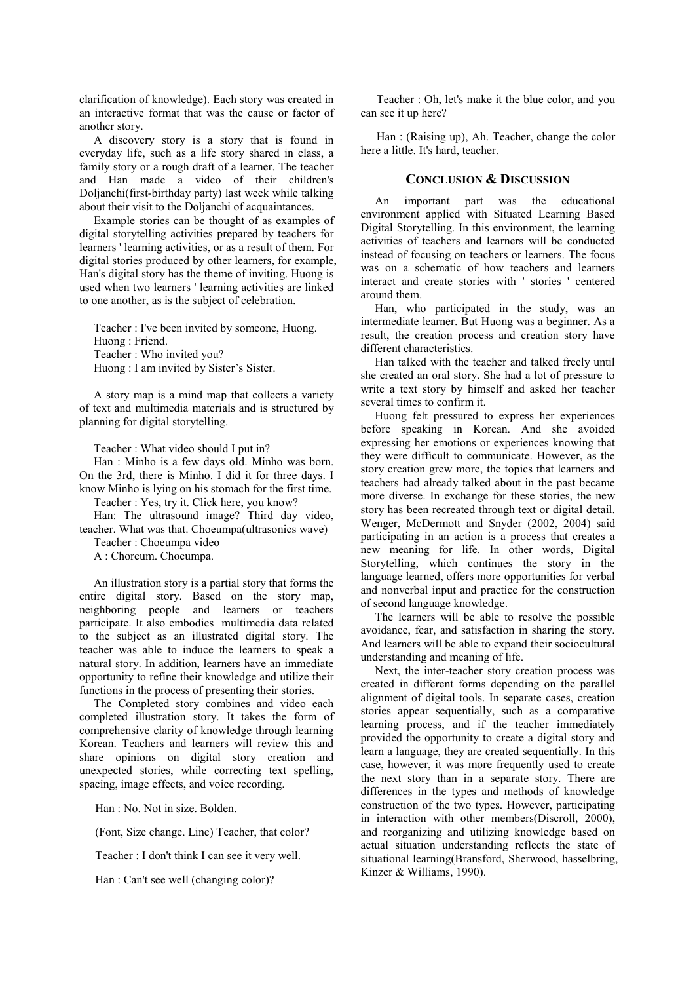clarification of knowledge). Each story was created in an interactive format that was the cause or factor of another story.

A discovery story is a story that is found in everyday life, such as a life story shared in class, a family story or a rough draft of a learner. The teacher and Han made a video of their children's Doljanchi(first-birthday party) last week while talking about their visit to the Doljanchi of acquaintances.

Example stories can be thought of as examples of digital storytelling activities prepared by teachers for learners ' learning activities, or as a result of them. For digital stories produced by other learners, for example, Han's digital story has the theme of inviting. Huong is used when two learners ' learning activities are linked to one another, as is the subject of celebration.

Teacher : I've been invited by someone, Huong.

Huong : Friend.

Teacher : Who invited you?

Huong : I am invited by Sister's Sister.

A story map is a mind map that collects a variety of text and multimedia materials and is structured by planning for digital storytelling.

Teacher : What video should I put in?

Han : Minho is a few days old. Minho was born. On the 3rd, there is Minho. I did it for three days. I know Minho is lying on his stomach for the first time.

Teacher : Yes, try it. Click here, you know?

Han: The ultrasound image? Third day video, teacher. What was that. Choeumpa(ultrasonics wave)

Teacher : Choeumpa video

A : Choreum. Choeumpa.

An illustration story is a partial story that forms the entire digital story. Based on the story map, neighboring people and learners or teachers participate. It also embodies multimedia data related to the subject as an illustrated digital story. The teacher was able to induce the learners to speak a natural story. In addition, learners have an immediate opportunity to refine their knowledge and utilize their functions in the process of presenting their stories.

The Completed story combines and video each completed illustration story. It takes the form of comprehensive clarity of knowledge through learning Korean. Teachers and learners will review this and share opinions on digital story creation and unexpected stories, while correcting text spelling, spacing, image effects, and voice recording.

Han : No. Not in size. Bolden.

(Font, Size change. Line) Teacher, that color?

Teacher : I don't think I can see it very well.

Han : Can't see well (changing color)?

Teacher : Oh, let's make it the blue color, and you can see it up here?

Han : (Raising up), Ah. Teacher, change the color here a little. It's hard, teacher.

## **CONCLUSION & DISCUSSION**

An important part was the educational environment applied with Situated Learning Based Digital Storytelling. In this environment, the learning activities of teachers and learners will be conducted instead of focusing on teachers or learners. The focus was on a schematic of how teachers and learners interact and create stories with ' stories ' centered around them.

Han, who participated in the study, was an intermediate learner. But Huong was a beginner. As a result, the creation process and creation story have different characteristics.

Han talked with the teacher and talked freely until she created an oral story. She had a lot of pressure to write a text story by himself and asked her teacher several times to confirm it.

Huong felt pressured to express her experiences before speaking in Korean. And she avoided expressing her emotions or experiences knowing that they were difficult to communicate. However, as the story creation grew more, the topics that learners and teachers had already talked about in the past became more diverse. In exchange for these stories, the new story has been recreated through text or digital detail. Wenger, McDermott and Snyder (2002, 2004) said participating in an action is a process that creates a new meaning for life. In other words, Digital Storytelling, which continues the story in the language learned, offers more opportunities for verbal and nonverbal input and practice for the construction of second language knowledge.

The learners will be able to resolve the possible avoidance, fear, and satisfaction in sharing the story. And learners will be able to expand their sociocultural understanding and meaning of life.

Next, the inter-teacher story creation process was created in different forms depending on the parallel alignment of digital tools. In separate cases, creation stories appear sequentially, such as a comparative learning process, and if the teacher immediately provided the opportunity to create a digital story and learn a language, they are created sequentially. In this case, however, it was more frequently used to create the next story than in a separate story. There are differences in the types and methods of knowledge construction of the two types. However, participating in interaction with other members(Discroll, 2000), and reorganizing and utilizing knowledge based on actual situation understanding reflects the state of situational learning(Bransford, Sherwood, hasselbring, Kinzer & Williams, 1990).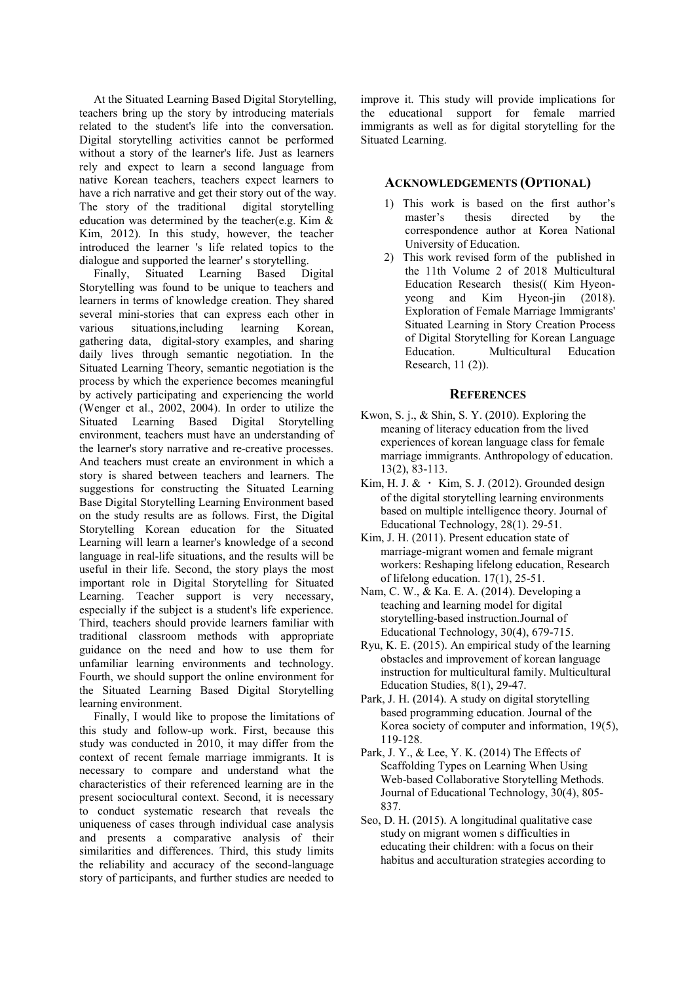At the Situated Learning Based Digital Storytelling, teachers bring up the story by introducing materials related to the student's life into the conversation. Digital storytelling activities cannot be performed without a story of the learner's life. Just as learners rely and expect to learn a second language from native Korean teachers, teachers expect learners to have a rich narrative and get their story out of the way. The story of the traditional digital storytelling education was determined by the teacher(e.g. Kim & Kim, 2012). In this study, however, the teacher introduced the learner 's life related topics to the dialogue and supported the learner' s storytelling.

Finally, Situated Learning Based Digital Storytelling was found to be unique to teachers and learners in terms of knowledge creation. They shared several mini-stories that can express each other in various situations,including learning Korean, gathering data, digital-story examples, and sharing daily lives through semantic negotiation. In the Situated Learning Theory, semantic negotiation is the process by which the experience becomes meaningful by actively participating and experiencing the world (Wenger et al., 2002, 2004). In order to utilize the Situated Learning Based Digital Storytelling environment, teachers must have an understanding of the learner's story narrative and re-creative processes. And teachers must create an environment in which a story is shared between teachers and learners. The suggestions for constructing the Situated Learning Base Digital Storytelling Learning Environment based on the study results are as follows. First, the Digital Storytelling Korean education for the Situated Learning will learn a learner's knowledge of a second language in real-life situations, and the results will be useful in their life. Second, the story plays the most important role in Digital Storytelling for Situated Learning. Teacher support is very necessary, especially if the subject is a student's life experience. Third, teachers should provide learners familiar with traditional classroom methods with appropriate guidance on the need and how to use them for unfamiliar learning environments and technology. Fourth, we should support the online environment for the Situated Learning Based Digital Storytelling learning environment.

Finally, I would like to propose the limitations of this study and follow-up work. First, because this study was conducted in 2010, it may differ from the context of recent female marriage immigrants. It is necessary to compare and understand what the characteristics of their referenced learning are in the present sociocultural context. Second, it is necessary to conduct systematic research that reveals the uniqueness of cases through individual case analysis and presents a comparative analysis of their similarities and differences. Third, this study limits the reliability and accuracy of the second-language story of participants, and further studies are needed to

improve it. This study will provide implications for the educational support for female married immigrants as well as for digital storytelling for the Situated Learning.

#### **ACKNOWLEDGEMENTS (OPTIONAL)**

- 1) This work is based on the first author's master's thesis directed by the correspondence author at Korea National University of Education.
- 2) This work revised form of the published in the 11th Volume 2 of 2018 Multicultural Education Research thesis(( Kim Hyeonyeong and Kim Hyeon-jin (2018). Exploration of Female Marriage Immigrants' Situated Learning in Story Creation Process of Digital Storytelling for Korean Language Education. Multicultural Education Research, 11 (2)).

#### **REFERENCES**

- Kwon, S. j., & Shin, S. Y. (2010). Exploring the meaning of literacy education from the lived experiences of korean language class for female marriage immigrants. Anthropology of education. 13(2), 83-113.
- Kim, H. J. &  $\cdot$  Kim, S. J. (2012). Grounded design of the digital storytelling learning environments based on multiple intelligence theory. Journal of Educational Technology, 28(1). 29-51.
- Kim, J. H. (2011). Present education state of marriage-migrant women and female migrant workers: Reshaping lifelong education, Research of lifelong education. 17(1), 25-51.
- Nam, C. W., & Ka. E. A. (2014). Developing a teaching and learning model for digital storytelling-based instruction.Journal of Educational Technology, 30(4), 679-715.
- Ryu, K. E. (2015). An empirical study of the learning obstacles and improvement of korean language instruction for multicultural family. Multicultural Education Studies, 8(1), 29-47.
- Park, J. H. (2014). A study on digital storytelling based programming education. Journal of the Korea society of computer and information, 19(5), 119-128.
- Park, J. Y., & Lee, Y. K. (2014) The Effects of Scaffolding Types on Learning When Using Web-based Collaborative Storytelling Methods. Journal of Educational Technology, 30(4), 805- 837.
- Seo, D. H. (2015). A longitudinal qualitative case study on migrant women s difficulties in educating their children: with a focus on their habitus and acculturation strategies according to